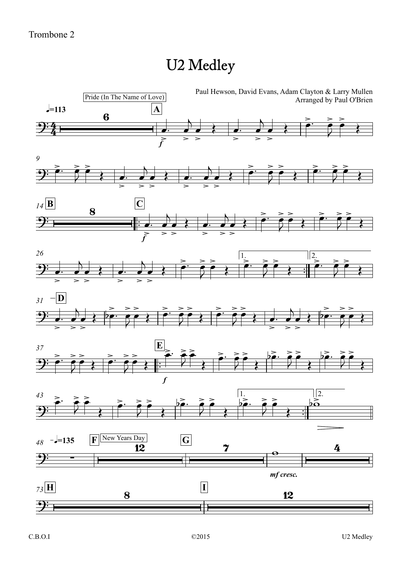## U2 Medley